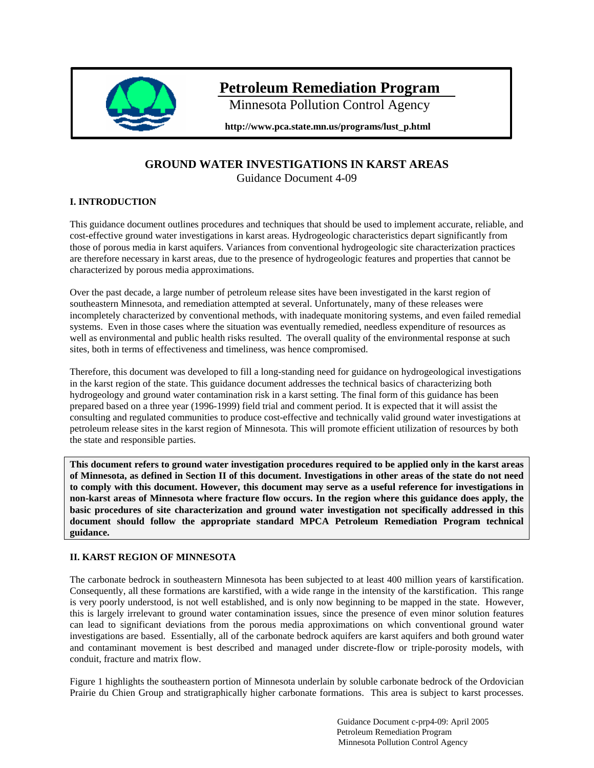

# **Petroleum Remediation Program**

Minnesota Pollution Control Agency

**http://www.pca.state.mn.us/programs/lust\_p.html** 

# **GROUND WATER INVESTIGATIONS IN KARST AREAS**

Guidance Document 4-09

# **I. INTRODUCTION**

This guidance document outlines procedures and techniques that should be used to implement accurate, reliable, and cost-effective ground water investigations in karst areas. Hydrogeologic characteristics depart significantly from those of porous media in karst aquifers. Variances from conventional hydrogeologic site characterization practices are therefore necessary in karst areas, due to the presence of hydrogeologic features and properties that cannot be characterized by porous media approximations.

Over the past decade, a large number of petroleum release sites have been investigated in the karst region of southeastern Minnesota, and remediation attempted at several. Unfortunately, many of these releases were incompletely characterized by conventional methods, with inadequate monitoring systems, and even failed remedial systems. Even in those cases where the situation was eventually remedied, needless expenditure of resources as well as environmental and public health risks resulted. The overall quality of the environmental response at such sites, both in terms of effectiveness and timeliness, was hence compromised.

Therefore, this document was developed to fill a long-standing need for guidance on hydrogeological investigations in the karst region of the state. This guidance document addresses the technical basics of characterizing both hydrogeology and ground water contamination risk in a karst setting. The final form of this guidance has been prepared based on a three year (1996-1999) field trial and comment period. It is expected that it will assist the consulting and regulated communities to produce cost-effective and technically valid ground water investigations at petroleum release sites in the karst region of Minnesota. This will promote efficient utilization of resources by both the state and responsible parties.

**This document refers to ground water investigation procedures required to be applied only in the karst areas of Minnesota, as defined in Section II of this document. Investigations in other areas of the state do not need to comply with this document. However, this document may serve as a useful reference for investigations in non-karst areas of Minnesota where fracture flow occurs. In the region where this guidance does apply, the basic procedures of site characterization and ground water investigation not specifically addressed in this document should follow the appropriate standard MPCA Petroleum Remediation Program technical guidance.** 

## **II. KARST REGION OF MINNESOTA**

The carbonate bedrock in southeastern Minnesota has been subjected to at least 400 million years of karstification. Consequently, all these formations are karstified, with a wide range in the intensity of the karstification. This range is very poorly understood, is not well established, and is only now beginning to be mapped in the state. However, this is largely irrelevant to ground water contamination issues, since the presence of even minor solution features can lead to significant deviations from the porous media approximations on which conventional ground water investigations are based. Essentially, all of the carbonate bedrock aquifers are karst aquifers and both ground water and contaminant movement is best described and managed under discrete-flow or triple-porosity models, with conduit, fracture and matrix flow.

Figure 1 highlights the southeastern portion of Minnesota underlain by soluble carbonate bedrock of the Ordovician Prairie du Chien Group and stratigraphically higher carbonate formations. This area is subject to karst processes.

> Guidance Document c-prp4-09: April 2005 Petroleum Remediation Program Minnesota Pollution Control Agency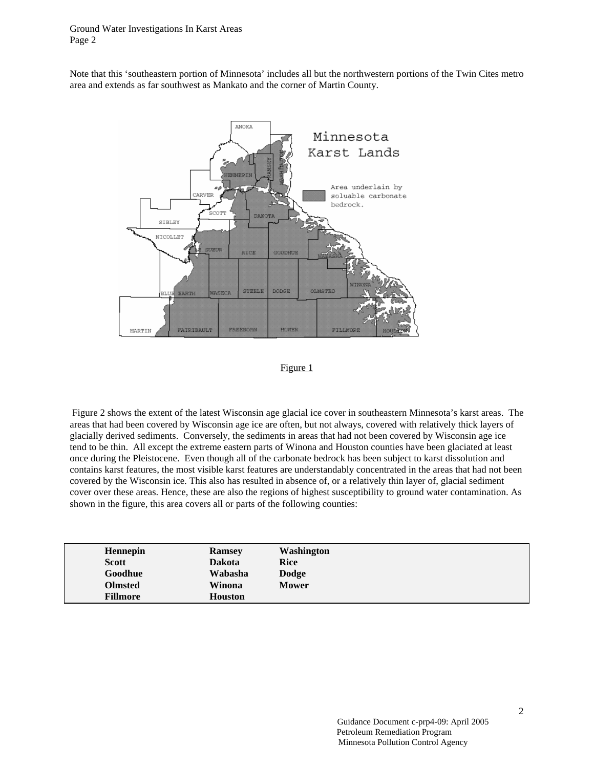Note that this 'southeastern portion of Minnesota' includes all but the northwestern portions of the Twin Cites metro area and extends as far southwest as Mankato and the corner of Martin County.



Figure 1

 Figure 2 shows the extent of the latest Wisconsin age glacial ice cover in southeastern Minnesota's karst areas. The areas that had been covered by Wisconsin age ice are often, but not always, covered with relatively thick layers of glacially derived sediments. Conversely, the sediments in areas that had not been covered by Wisconsin age ice tend to be thin. All except the extreme eastern parts of Winona and Houston counties have been glaciated at least once during the Pleistocene. Even though all of the carbonate bedrock has been subject to karst dissolution and contains karst features, the most visible karst features are understandably concentrated in the areas that had not been covered by the Wisconsin ice. This also has resulted in absence of, or a relatively thin layer of, glacial sediment cover over these areas. Hence, these are also the regions of highest susceptibility to ground water contamination. As shown in the figure, this area covers all or parts of the following counties:

| Hennepin<br><b>Ramsey</b><br><b>Scott</b><br><b>Dakota</b><br>Goodhue<br>Wabasha<br><b>Olmsted</b><br>Winona<br><b>Fillmore</b><br><b>Houston</b> | Washington<br>Rice<br>Dodge<br><b>Mower</b> |
|---------------------------------------------------------------------------------------------------------------------------------------------------|---------------------------------------------|
|---------------------------------------------------------------------------------------------------------------------------------------------------|---------------------------------------------|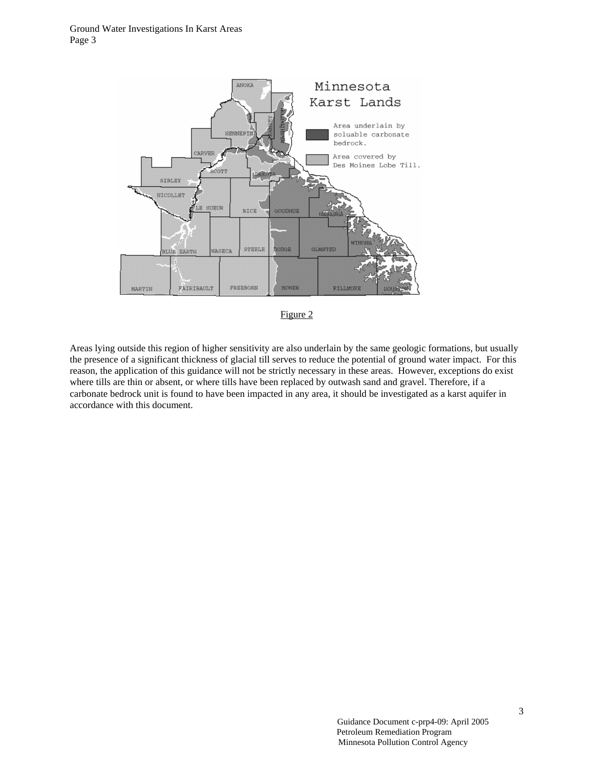



Areas lying outside this region of higher sensitivity are also underlain by the same geologic formations, but usually the presence of a significant thickness of glacial till serves to reduce the potential of ground water impact. For this reason, the application of this guidance will not be strictly necessary in these areas. However, exceptions do exist where tills are thin or absent, or where tills have been replaced by outwash sand and gravel. Therefore, if a carbonate bedrock unit is found to have been impacted in any area, it should be investigated as a karst aquifer in accordance with this document.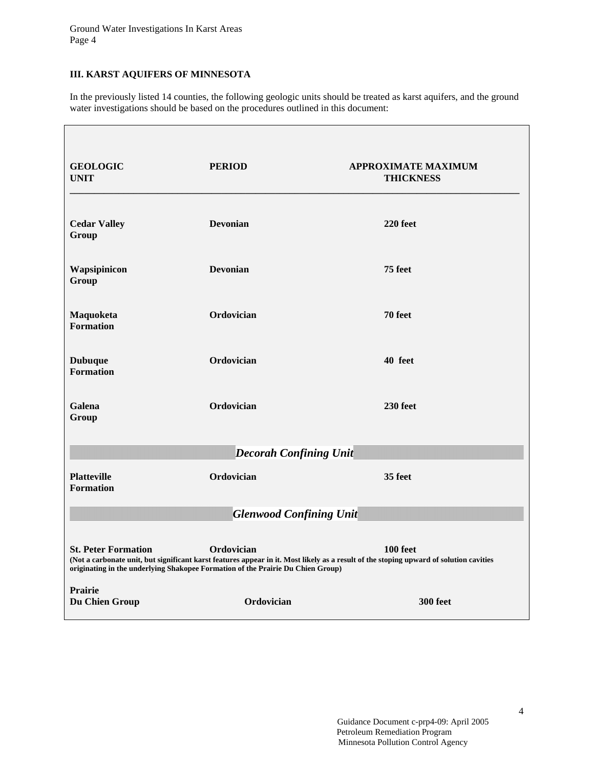## **III. KARST AQUIFERS OF MINNESOTA**

Г

In the previously listed 14 counties, the following geologic units should be treated as karst aquifers, and the ground water investigations should be based on the procedures outlined in this document:

| <b>GEOLOGIC</b><br><b>UNIT</b>                                                                                                                                                                                                                                                    | <b>PERIOD</b>                  | <b>APPROXIMATE MAXIMUM</b><br><b>THICKNESS</b> |  |
|-----------------------------------------------------------------------------------------------------------------------------------------------------------------------------------------------------------------------------------------------------------------------------------|--------------------------------|------------------------------------------------|--|
| <b>Cedar Valley</b><br>Group                                                                                                                                                                                                                                                      | <b>Devonian</b>                | 220 feet                                       |  |
| Wapsipinicon<br>Group                                                                                                                                                                                                                                                             | <b>Devonian</b>                | 75 feet                                        |  |
| Maquoketa<br><b>Formation</b>                                                                                                                                                                                                                                                     | Ordovician                     | 70 feet                                        |  |
| <b>Dubuque</b><br><b>Formation</b>                                                                                                                                                                                                                                                | Ordovician                     | 40 feet                                        |  |
| Galena<br>Group                                                                                                                                                                                                                                                                   | Ordovician                     | 230 feet                                       |  |
|                                                                                                                                                                                                                                                                                   | <b>Decorah Confining Unit-</b> |                                                |  |
| <b>Platteville</b><br><b>Formation</b>                                                                                                                                                                                                                                            | Ordovician                     | 35 feet                                        |  |
| <b>Glenwood Confining Unit-</b>                                                                                                                                                                                                                                                   |                                |                                                |  |
| <b>St. Peter Formation</b><br>Ordovician<br>100 feet<br>(Not a carbonate unit, but significant karst features appear in it. Most likely as a result of the stoping upward of solution cavities<br>originating in the underlying Shakopee Formation of the Prairie Du Chien Group) |                                |                                                |  |
| Prairie<br>Du Chien Group                                                                                                                                                                                                                                                         | Ordovician                     | <b>300 feet</b>                                |  |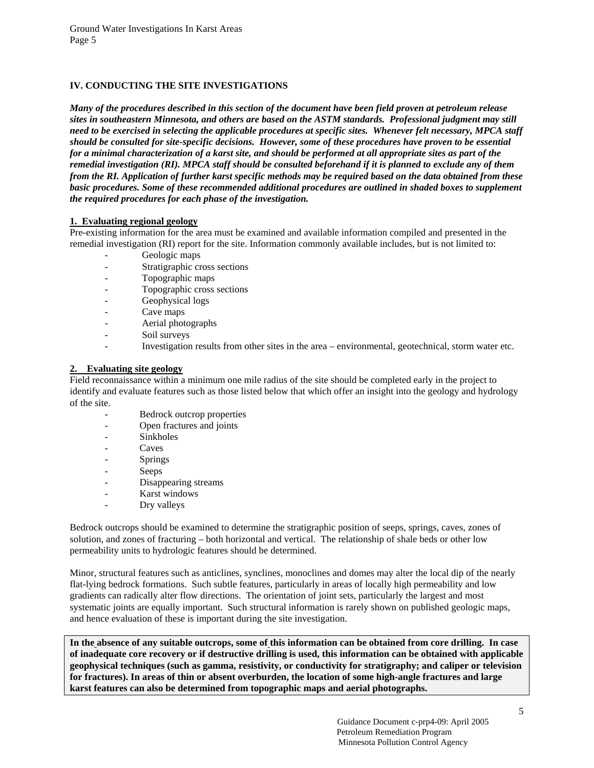## **IV. CONDUCTING THE SITE INVESTIGATIONS**

*Many of the procedures described in this section of the document have been field proven at petroleum release sites in southeastern Minnesota, and others are based on the ASTM standards. Professional judgment may still need to be exercised in selecting the applicable procedures at specific sites. Whenever felt necessary, MPCA staff should be consulted for site-specific decisions. However, some of these procedures have proven to be essential for a minimal characterization of a karst site, and should be performed at all appropriate sites as part of the remedial investigation (RI). MPCA staff should be consulted beforehand if it is planned to exclude any of them from the RI. Application of further karst specific methods may be required based on the data obtained from these*  basic procedures. Some of these recommended additional procedures are outlined in shaded boxes to supplement *the required procedures for each phase of the investigation.* 

## **1. Evaluating regional geology**

Pre-existing information for the area must be examined and available information compiled and presented in the remedial investigation (RI) report for the site. Information commonly available includes, but is not limited to:

- Geologic maps
- Stratigraphic cross sections
- Topographic maps
- Topographic cross sections
- Geophysical logs
- Cave maps
- Aerial photographs
- Soil surveys
- Investigation results from other sites in the area environmental, geotechnical, storm water etc.

#### **2. Evaluating site geology**

Field reconnaissance within a minimum one mile radius of the site should be completed early in the project to identify and evaluate features such as those listed below that which offer an insight into the geology and hydrology of the site.

- Bedrock outcrop properties
- Open fractures and joints
- Sinkholes
- **Caves**
- Springs
- Seeps
- Disappearing streams
- Karst windows
- Dry valleys

Bedrock outcrops should be examined to determine the stratigraphic position of seeps, springs, caves, zones of solution, and zones of fracturing – both horizontal and vertical. The relationship of shale beds or other low permeability units to hydrologic features should be determined.

Minor, structural features such as anticlines, synclines, monoclines and domes may alter the local dip of the nearly flat-lying bedrock formations. Such subtle features, particularly in areas of locally high permeability and low gradients can radically alter flow directions. The orientation of joint sets, particularly the largest and most systematic joints are equally important. Such structural information is rarely shown on published geologic maps, and hence evaluation of these is important during the site investigation.

**In the absence of any suitable outcrops, some of this information can be obtained from core drilling. In case of inadequate core recovery or if destructive drilling is used, this information can be obtained with applicable geophysical techniques (such as gamma, resistivity, or conductivity for stratigraphy; and caliper or television for fractures). In areas of thin or absent overburden, the location of some high-angle fractures and large karst features can also be determined from topographic maps and aerial photographs.**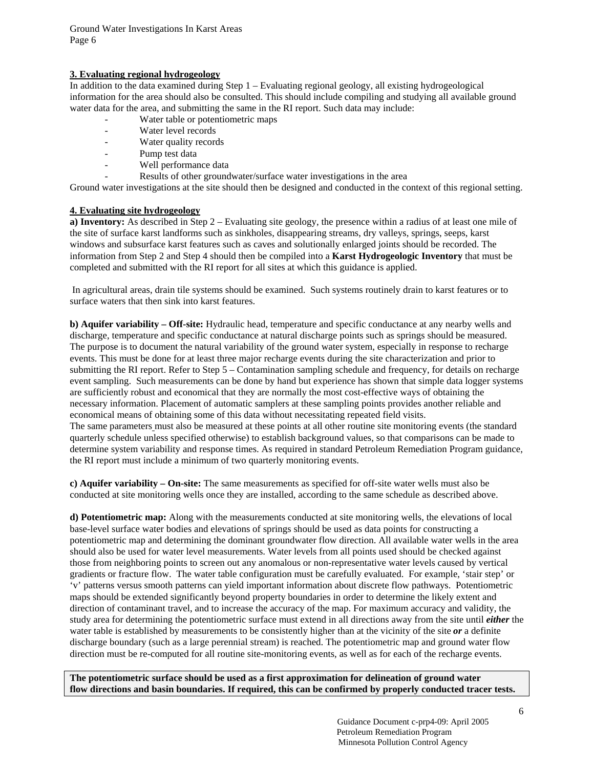## **3. Evaluating regional hydrogeology**

In addition to the data examined during Step 1 – Evaluating regional geology, all existing hydrogeological information for the area should also be consulted. This should include compiling and studying all available ground water data for the area, and submitting the same in the RI report. Such data may include:

- Water table or potentiometric maps
- Water level records
- Water quality records
- Pump test data
- Well performance data
- Results of other groundwater/surface water investigations in the area

Ground water investigations at the site should then be designed and conducted in the context of this regional setting.

## **4. Evaluating site hydrogeology**

**a) Inventory:** As described in Step 2 – Evaluating site geology, the presence within a radius of at least one mile of the site of surface karst landforms such as sinkholes, disappearing streams, dry valleys, springs, seeps, karst windows and subsurface karst features such as caves and solutionally enlarged joints should be recorded. The information from Step 2 and Step 4 should then be compiled into a **Karst Hydrogeologic Inventory** that must be completed and submitted with the RI report for all sites at which this guidance is applied.

 In agricultural areas, drain tile systems should be examined. Such systems routinely drain to karst features or to surface waters that then sink into karst features.

**b) Aquifer variability – Off-site:** Hydraulic head, temperature and specific conductance at any nearby wells and discharge, temperature and specific conductance at natural discharge points such as springs should be measured. The purpose is to document the natural variability of the ground water system, especially in response to recharge events. This must be done for at least three major recharge events during the site characterization and prior to submitting the RI report. Refer to Step 5 – Contamination sampling schedule and frequency, for details on recharge event sampling. Such measurements can be done by hand but experience has shown that simple data logger systems are sufficiently robust and economical that they are normally the most cost-effective ways of obtaining the necessary information. Placement of automatic samplers at these sampling points provides another reliable and economical means of obtaining some of this data without necessitating repeated field visits. The same parameters must also be measured at these points at all other routine site monitoring events (the standard quarterly schedule unless specified otherwise) to establish background values, so that comparisons can be made to determine system variability and response times. As required in standard Petroleum Remediation Program guidance, the RI report must include a minimum of two quarterly monitoring events.

**c) Aquifer variability – On-site:** The same measurements as specified for off-site water wells must also be conducted at site monitoring wells once they are installed, according to the same schedule as described above.

**d) Potentiometric map:** Along with the measurements conducted at site monitoring wells, the elevations of local base-level surface water bodies and elevations of springs should be used as data points for constructing a potentiometric map and determining the dominant groundwater flow direction. All available water wells in the area should also be used for water level measurements. Water levels from all points used should be checked against those from neighboring points to screen out any anomalous or non-representative water levels caused by vertical gradients or fracture flow. The water table configuration must be carefully evaluated. For example, 'stair step' or 'v' patterns versus smooth patterns can yield important information about discrete flow pathways. Potentiometric maps should be extended significantly beyond property boundaries in order to determine the likely extent and direction of contaminant travel, and to increase the accuracy of the map. For maximum accuracy and validity, the study area for determining the potentiometric surface must extend in all directions away from the site until *either* the water table is established by measurements to be consistently higher than at the vicinity of the site *or* a definite discharge boundary (such as a large perennial stream) is reached. The potentiometric map and ground water flow direction must be re-computed for all routine site-monitoring events, as well as for each of the recharge events.

**The potentiometric surface should be used as a first approximation for delineation of ground water flow directions and basin boundaries. If required, this can be confirmed by properly conducted tracer tests.**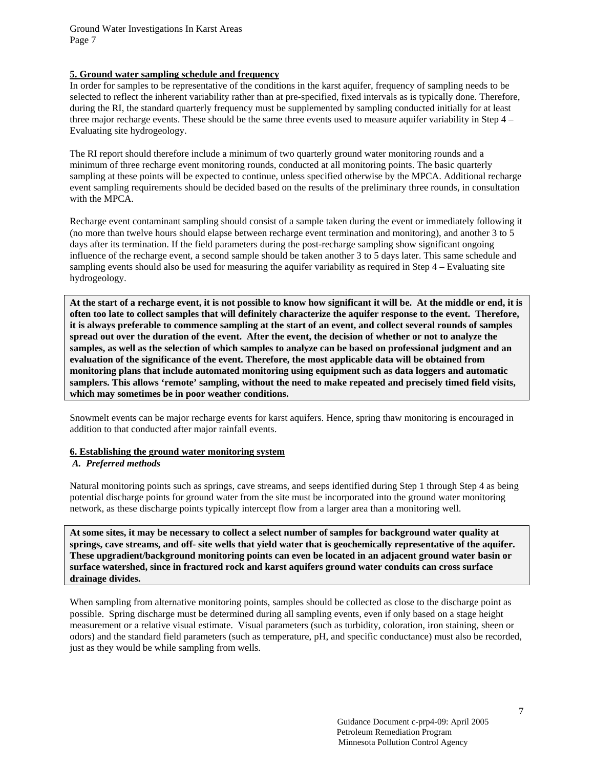#### **5. Ground water sampling schedule and frequency**

In order for samples to be representative of the conditions in the karst aquifer, frequency of sampling needs to be selected to reflect the inherent variability rather than at pre-specified, fixed intervals as is typically done. Therefore, during the RI, the standard quarterly frequency must be supplemented by sampling conducted initially for at least three major recharge events. These should be the same three events used to measure aquifer variability in Step 4 – Evaluating site hydrogeology.

The RI report should therefore include a minimum of two quarterly ground water monitoring rounds and a minimum of three recharge event monitoring rounds, conducted at all monitoring points. The basic quarterly sampling at these points will be expected to continue, unless specified otherwise by the MPCA. Additional recharge event sampling requirements should be decided based on the results of the preliminary three rounds, in consultation with the MPCA.

Recharge event contaminant sampling should consist of a sample taken during the event or immediately following it (no more than twelve hours should elapse between recharge event termination and monitoring), and another 3 to 5 days after its termination. If the field parameters during the post-recharge sampling show significant ongoing influence of the recharge event, a second sample should be taken another 3 to 5 days later. This same schedule and sampling events should also be used for measuring the aquifer variability as required in Step 4 – Evaluating site hydrogeology.

**At the start of a recharge event, it is not possible to know how significant it will be. At the middle or end, it is often too late to collect samples that will definitely characterize the aquifer response to the event. Therefore, it is always preferable to commence sampling at the start of an event, and collect several rounds of samples spread out over the duration of the event. After the event, the decision of whether or not to analyze the samples, as well as the selection of which samples to analyze can be based on professional judgment and an evaluation of the significance of the event. Therefore, the most applicable data will be obtained from monitoring plans that include automated monitoring using equipment such as data loggers and automatic samplers. This allows 'remote' sampling, without the need to make repeated and precisely timed field visits, which may sometimes be in poor weather conditions.** 

Snowmelt events can be major recharge events for karst aquifers. Hence, spring thaw monitoring is encouraged in addition to that conducted after major rainfall events.

#### **6. Establishing the ground water monitoring system**

#### *A. Preferred methods*

Natural monitoring points such as springs, cave streams, and seeps identified during Step 1 through Step 4 as being potential discharge points for ground water from the site must be incorporated into the ground water monitoring network, as these discharge points typically intercept flow from a larger area than a monitoring well.

**At some sites, it may be necessary to collect a select number of samples for background water quality at springs, cave streams, and off- site wells that yield water that is geochemically representative of the aquifer. These upgradient/background monitoring points can even be located in an adjacent ground water basin or surface watershed, since in fractured rock and karst aquifers ground water conduits can cross surface drainage divides.**

When sampling from alternative monitoring points, samples should be collected as close to the discharge point as possible. Spring discharge must be determined during all sampling events, even if only based on a stage height measurement or a relative visual estimate. Visual parameters (such as turbidity, coloration, iron staining, sheen or odors) and the standard field parameters (such as temperature, pH, and specific conductance) must also be recorded, just as they would be while sampling from wells.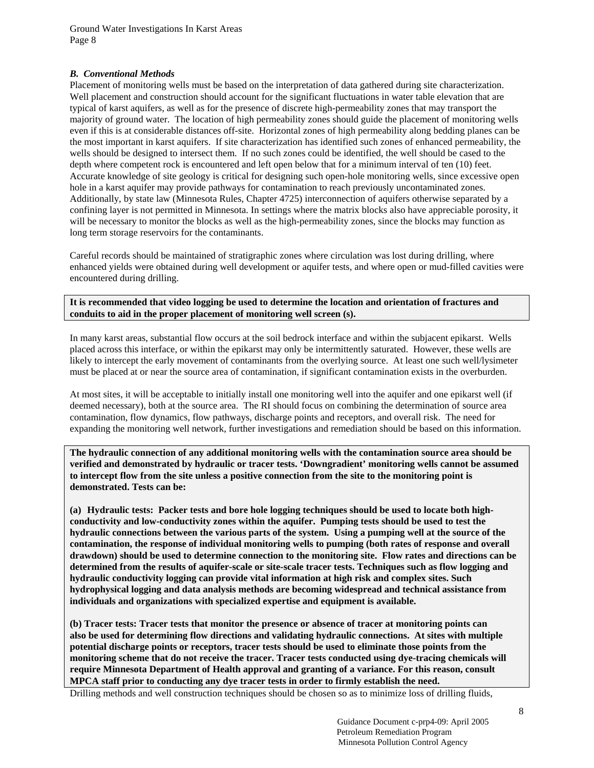#### *B. Conventional Methods*

Placement of monitoring wells must be based on the interpretation of data gathered during site characterization. Well placement and construction should account for the significant fluctuations in water table elevation that are typical of karst aquifers, as well as for the presence of discrete high-permeability zones that may transport the majority of ground water. The location of high permeability zones should guide the placement of monitoring wells even if this is at considerable distances off-site. Horizontal zones of high permeability along bedding planes can be the most important in karst aquifers. If site characterization has identified such zones of enhanced permeability, the wells should be designed to intersect them. If no such zones could be identified, the well should be cased to the depth where competent rock is encountered and left open below that for a minimum interval of ten (10) feet. Accurate knowledge of site geology is critical for designing such open-hole monitoring wells, since excessive open hole in a karst aquifer may provide pathways for contamination to reach previously uncontaminated zones. Additionally, by state law (Minnesota Rules, Chapter 4725) interconnection of aquifers otherwise separated by a confining layer is not permitted in Minnesota. In settings where the matrix blocks also have appreciable porosity, it will be necessary to monitor the blocks as well as the high-permeability zones, since the blocks may function as long term storage reservoirs for the contaminants.

Careful records should be maintained of stratigraphic zones where circulation was lost during drilling, where enhanced yields were obtained during well development or aquifer tests, and where open or mud-filled cavities were encountered during drilling.

**It is recommended that video logging be used to determine the location and orientation of fractures and conduits to aid in the proper placement of monitoring well screen (s).** 

In many karst areas, substantial flow occurs at the soil bedrock interface and within the subjacent epikarst. Wells placed across this interface, or within the epikarst may only be intermittently saturated. However, these wells are likely to intercept the early movement of contaminants from the overlying source. At least one such well/lysimeter must be placed at or near the source area of contamination, if significant contamination exists in the overburden.

At most sites, it will be acceptable to initially install one monitoring well into the aquifer and one epikarst well (if deemed necessary), both at the source area. The RI should focus on combining the determination of source area contamination, flow dynamics, flow pathways, discharge points and receptors, and overall risk. The need for expanding the monitoring well network, further investigations and remediation should be based on this information.

**The hydraulic connection of any additional monitoring wells with the contamination source area should be verified and demonstrated by hydraulic or tracer tests. 'Downgradient' monitoring wells cannot be assumed to intercept flow from the site unless a positive connection from the site to the monitoring point is demonstrated. Tests can be:** 

**(a) Hydraulic tests: Packer tests and bore hole logging techniques should be used to locate both highconductivity and low-conductivity zones within the aquifer. Pumping tests should be used to test the hydraulic connections between the various parts of the system. Using a pumping well at the source of the contamination, the response of individual monitoring wells to pumping (both rates of response and overall drawdown) should be used to determine connection to the monitoring site. Flow rates and directions can be determined from the results of aquifer-scale or site-scale tracer tests. Techniques such as flow logging and hydraulic conductivity logging can provide vital information at high risk and complex sites. Such hydrophysical logging and data analysis methods are becoming widespread and technical assistance from individuals and organizations with specialized expertise and equipment is available.** 

**(b) Tracer tests: Tracer tests that monitor the presence or absence of tracer at monitoring points can also be used for determining flow directions and validating hydraulic connections. At sites with multiple potential discharge points or receptors, tracer tests should be used to eliminate those points from the monitoring scheme that do not receive the tracer. Tracer tests conducted using dye-tracing chemicals will require Minnesota Department of Health approval and granting of a variance. For this reason, consult MPCA staff prior to conducting any dye tracer tests in order to firmly establish the need.** 

Drilling methods and well construction techniques should be chosen so as to minimize loss of drilling fluids,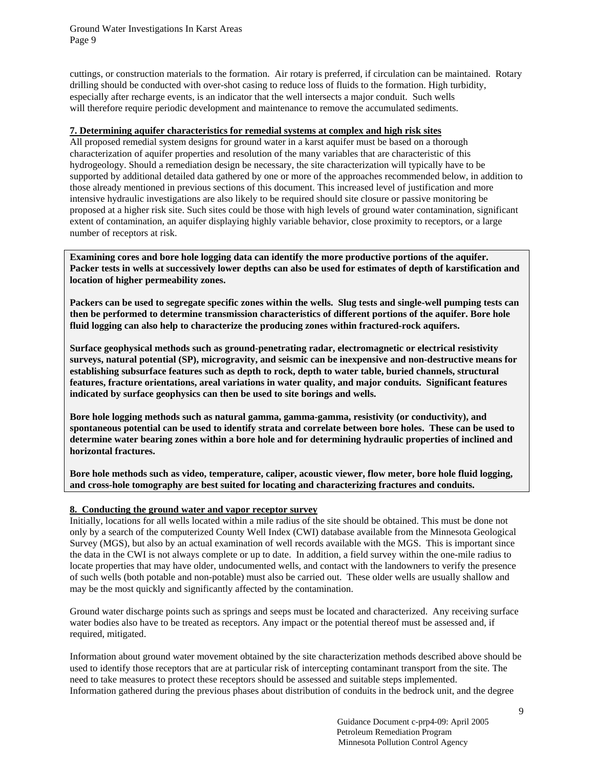cuttings, or construction materials to the formation. Air rotary is preferred, if circulation can be maintained. Rotary drilling should be conducted with over-shot casing to reduce loss of fluids to the formation. High turbidity, especially after recharge events, is an indicator that the well intersects a major conduit. Such wells will therefore require periodic development and maintenance to remove the accumulated sediments.

### **7. Determining aquifer characteristics for remedial systems at complex and high risk sites**

All proposed remedial system designs for ground water in a karst aquifer must be based on a thorough characterization of aquifer properties and resolution of the many variables that are characteristic of this hydrogeology. Should a remediation design be necessary, the site characterization will typically have to be supported by additional detailed data gathered by one or more of the approaches recommended below, in addition to those already mentioned in previous sections of this document. This increased level of justification and more intensive hydraulic investigations are also likely to be required should site closure or passive monitoring be proposed at a higher risk site. Such sites could be those with high levels of ground water contamination, significant extent of contamination, an aquifer displaying highly variable behavior, close proximity to receptors, or a large number of receptors at risk.

**Examining cores and bore hole logging data can identify the more productive portions of the aquifer. Packer tests in wells at successively lower depths can also be used for estimates of depth of karstification and location of higher permeability zones.** 

**Packers can be used to segregate specific zones within the wells. Slug tests and single-well pumping tests can then be performed to determine transmission characteristics of different portions of the aquifer. Bore hole fluid logging can also help to characterize the producing zones within fractured-rock aquifers.** 

**Surface geophysical methods such as ground-penetrating radar, electromagnetic or electrical resistivity surveys, natural potential (SP), microgravity, and seismic can be inexpensive and non-destructive means for establishing subsurface features such as depth to rock, depth to water table, buried channels, structural features, fracture orientations, areal variations in water quality, and major conduits. Significant features indicated by surface geophysics can then be used to site borings and wells.** 

**Bore hole logging methods such as natural gamma, gamma-gamma, resistivity (or conductivity), and spontaneous potential can be used to identify strata and correlate between bore holes. These can be used to determine water bearing zones within a bore hole and for determining hydraulic properties of inclined and horizontal fractures.** 

**Bore hole methods such as video, temperature, caliper, acoustic viewer, flow meter, bore hole fluid logging, and cross-hole tomography are best suited for locating and characterizing fractures and conduits.** 

#### **8. Conducting the ground water and vapor receptor survey**

Initially, locations for all wells located within a mile radius of the site should be obtained. This must be done not only by a search of the computerized County Well Index (CWI) database available from the Minnesota Geological Survey (MGS), but also by an actual examination of well records available with the MGS. This is important since the data in the CWI is not always complete or up to date. In addition, a field survey within the one-mile radius to locate properties that may have older, undocumented wells, and contact with the landowners to verify the presence of such wells (both potable and non-potable) must also be carried out. These older wells are usually shallow and may be the most quickly and significantly affected by the contamination.

Ground water discharge points such as springs and seeps must be located and characterized. Any receiving surface water bodies also have to be treated as receptors. Any impact or the potential thereof must be assessed and, if required, mitigated.

Information about ground water movement obtained by the site characterization methods described above should be used to identify those receptors that are at particular risk of intercepting contaminant transport from the site. The need to take measures to protect these receptors should be assessed and suitable steps implemented. Information gathered during the previous phases about distribution of conduits in the bedrock unit, and the degree

> Guidance Document c-prp4-09: April 2005 Petroleum Remediation Program Minnesota Pollution Control Agency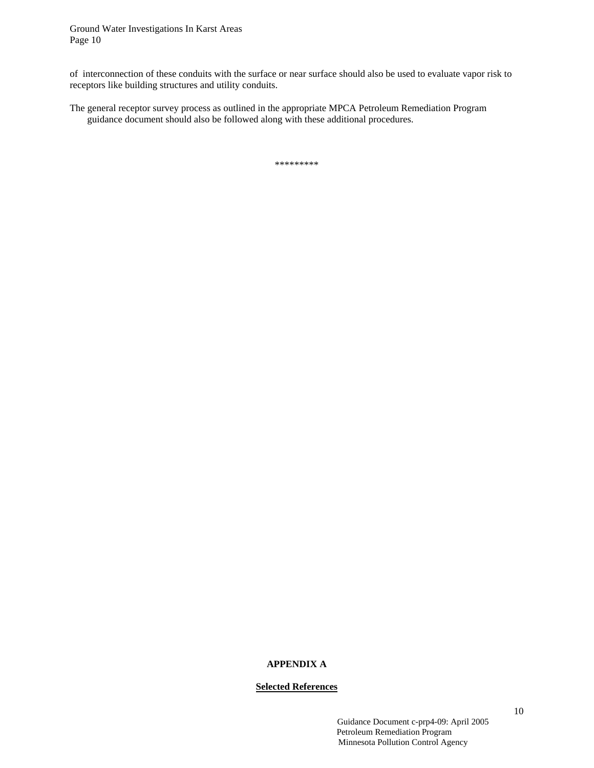of interconnection of these conduits with the surface or near surface should also be used to evaluate vapor risk to receptors like building structures and utility conduits.

The general receptor survey process as outlined in the appropriate MPCA Petroleum Remediation Program guidance document should also be followed along with these additional procedures.

\*\*\*\*\*\*\*\*\*

## **APPENDIX A**

## **Selected References**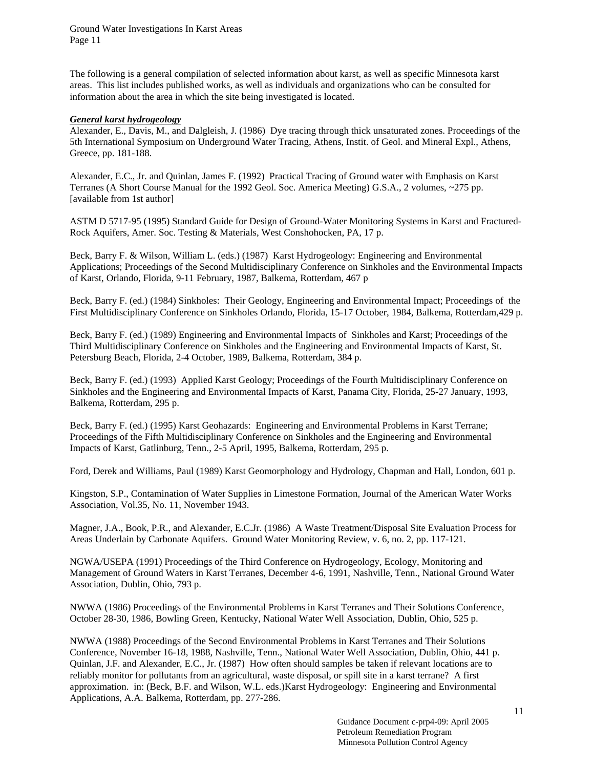The following is a general compilation of selected information about karst, as well as specific Minnesota karst areas. This list includes published works, as well as individuals and organizations who can be consulted for information about the area in which the site being investigated is located.

#### *General karst hydrogeology*

Alexander, E., Davis, M., and Dalgleish, J. (1986) Dye tracing through thick unsaturated zones. Proceedings of the 5th International Symposium on Underground Water Tracing, Athens, Instit. of Geol. and Mineral Expl., Athens, Greece, pp. 181-188.

Alexander, E.C., Jr. and Quinlan, James F. (1992) Practical Tracing of Ground water with Emphasis on Karst Terranes (A Short Course Manual for the 1992 Geol. Soc. America Meeting) G.S.A., 2 volumes, ~275 pp. [available from 1st author]

ASTM D 5717-95 (1995) Standard Guide for Design of Ground-Water Monitoring Systems in Karst and Fractured-Rock Aquifers, Amer. Soc. Testing & Materials, West Conshohocken, PA, 17 p.

Beck, Barry F. & Wilson, William L. (eds.) (1987) Karst Hydrogeology: Engineering and Environmental Applications; Proceedings of the Second Multidisciplinary Conference on Sinkholes and the Environmental Impacts of Karst, Orlando, Florida, 9-11 February, 1987, Balkema, Rotterdam, 467 p

Beck, Barry F. (ed.) (1984) Sinkholes: Their Geology, Engineering and Environmental Impact; Proceedings of the First Multidisciplinary Conference on Sinkholes Orlando, Florida, 15-17 October, 1984, Balkema, Rotterdam,429 p.

Beck, Barry F. (ed.) (1989) Engineering and Environmental Impacts of Sinkholes and Karst; Proceedings of the Third Multidisciplinary Conference on Sinkholes and the Engineering and Environmental Impacts of Karst, St. Petersburg Beach, Florida, 2-4 October, 1989, Balkema, Rotterdam, 384 p.

Beck, Barry F. (ed.) (1993) Applied Karst Geology; Proceedings of the Fourth Multidisciplinary Conference on Sinkholes and the Engineering and Environmental Impacts of Karst, Panama City, Florida, 25-27 January, 1993, Balkema, Rotterdam, 295 p.

Beck, Barry F. (ed.) (1995) Karst Geohazards: Engineering and Environmental Problems in Karst Terrane; Proceedings of the Fifth Multidisciplinary Conference on Sinkholes and the Engineering and Environmental Impacts of Karst, Gatlinburg, Tenn., 2-5 April, 1995, Balkema, Rotterdam, 295 p.

Ford, Derek and Williams, Paul (1989) Karst Geomorphology and Hydrology, Chapman and Hall, London, 601 p.

Kingston, S.P., Contamination of Water Supplies in Limestone Formation, Journal of the American Water Works Association, Vol.35, No. 11, November 1943.

Magner, J.A., Book, P.R., and Alexander, E.C.Jr. (1986) A Waste Treatment/Disposal Site Evaluation Process for Areas Underlain by Carbonate Aquifers. Ground Water Monitoring Review, v. 6, no. 2, pp. 117-121.

NGWA/USEPA (1991) Proceedings of the Third Conference on Hydrogeology, Ecology, Monitoring and Management of Ground Waters in Karst Terranes, December 4-6, 1991, Nashville, Tenn., National Ground Water Association, Dublin, Ohio, 793 p.

NWWA (1986) Proceedings of the Environmental Problems in Karst Terranes and Their Solutions Conference, October 28-30, 1986, Bowling Green, Kentucky, National Water Well Association, Dublin, Ohio, 525 p.

NWWA (1988) Proceedings of the Second Environmental Problems in Karst Terranes and Their Solutions Conference, November 16-18, 1988, Nashville, Tenn., National Water Well Association, Dublin, Ohio, 441 p. Quinlan, J.F. and Alexander, E.C., Jr. (1987) How often should samples be taken if relevant locations are to reliably monitor for pollutants from an agricultural, waste disposal, or spill site in a karst terrane? A first approximation. in: (Beck, B.F. and Wilson, W.L. eds.)Karst Hydrogeology: Engineering and Environmental Applications, A.A. Balkema, Rotterdam, pp. 277-286.

> Guidance Document c-prp4-09: April 2005 Petroleum Remediation Program Minnesota Pollution Control Agency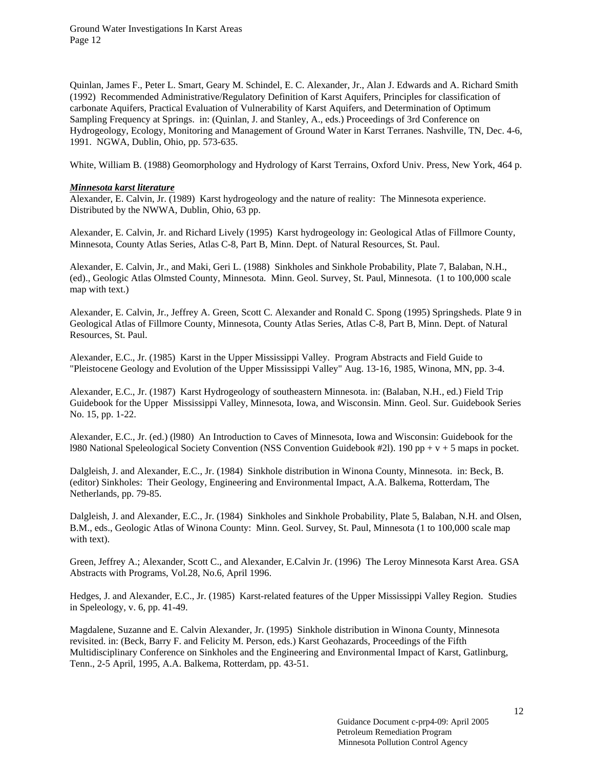Quinlan, James F., Peter L. Smart, Geary M. Schindel, E. C. Alexander, Jr., Alan J. Edwards and A. Richard Smith (1992) Recommended Administrative/Regulatory Definition of Karst Aquifers, Principles for classification of carbonate Aquifers, Practical Evaluation of Vulnerability of Karst Aquifers, and Determination of Optimum Sampling Frequency at Springs. in: (Quinlan, J. and Stanley, A., eds.) Proceedings of 3rd Conference on Hydrogeology, Ecology, Monitoring and Management of Ground Water in Karst Terranes. Nashville, TN, Dec. 4-6, 1991. NGWA, Dublin, Ohio, pp. 573-635.

White, William B. (1988) Geomorphology and Hydrology of Karst Terrains, Oxford Univ. Press, New York, 464 p.

#### *Minnesota karst literature*

Alexander, E. Calvin, Jr. (1989) Karst hydrogeology and the nature of reality: The Minnesota experience. Distributed by the NWWA, Dublin, Ohio, 63 pp.

Alexander, E. Calvin, Jr. and Richard Lively (1995) Karst hydrogeology in: Geological Atlas of Fillmore County, Minnesota, County Atlas Series, Atlas C-8, Part B, Minn. Dept. of Natural Resources, St. Paul.

Alexander, E. Calvin, Jr., and Maki, Geri L. (1988) Sinkholes and Sinkhole Probability, Plate 7, Balaban, N.H., (ed)., Geologic Atlas Olmsted County, Minnesota. Minn. Geol. Survey, St. Paul, Minnesota. (1 to 100,000 scale map with text.)

Alexander, E. Calvin, Jr., Jeffrey A. Green, Scott C. Alexander and Ronald C. Spong (1995) Springsheds. Plate 9 in Geological Atlas of Fillmore County, Minnesota, County Atlas Series, Atlas C-8, Part B, Minn. Dept. of Natural Resources, St. Paul.

Alexander, E.C., Jr. (1985) Karst in the Upper Mississippi Valley. Program Abstracts and Field Guide to "Pleistocene Geology and Evolution of the Upper Mississippi Valley" Aug. 13-16, 1985, Winona, MN, pp. 3-4.

Alexander, E.C., Jr. (1987) Karst Hydrogeology of southeastern Minnesota. in: (Balaban, N.H., ed.) Field Trip Guidebook for the Upper Mississippi Valley, Minnesota, Iowa, and Wisconsin. Minn. Geol. Sur. Guidebook Series No. 15, pp. 1-22.

Alexander, E.C., Jr. (ed.) (l980) An Introduction to Caves of Minnesota, Iowa and Wisconsin: Guidebook for the l980 National Speleological Society Convention (NSS Convention Guidebook #2l). 190 pp + v + 5 maps in pocket.

Dalgleish, J. and Alexander, E.C., Jr. (1984) Sinkhole distribution in Winona County, Minnesota. in: Beck, B. (editor) Sinkholes: Their Geology, Engineering and Environmental Impact, A.A. Balkema, Rotterdam, The Netherlands, pp. 79-85.

Dalgleish, J. and Alexander, E.C., Jr. (1984) Sinkholes and Sinkhole Probability, Plate 5, Balaban, N.H. and Olsen, B.M., eds., Geologic Atlas of Winona County: Minn. Geol. Survey, St. Paul, Minnesota (1 to 100,000 scale map with text).

Green, Jeffrey A.; Alexander, Scott C., and Alexander, E.Calvin Jr. (1996) The Leroy Minnesota Karst Area. GSA Abstracts with Programs, Vol.28, No.6, April 1996.

Hedges, J. and Alexander, E.C., Jr. (1985) Karst-related features of the Upper Mississippi Valley Region. Studies in Speleology, v. 6, pp. 41-49.

Magdalene, Suzanne and E. Calvin Alexander, Jr. (1995) Sinkhole distribution in Winona County, Minnesota revisited. in: (Beck, Barry F. and Felicity M. Person, eds.) Karst Geohazards, Proceedings of the Fifth Multidisciplinary Conference on Sinkholes and the Engineering and Environmental Impact of Karst, Gatlinburg, Tenn., 2-5 April, 1995, A.A. Balkema, Rotterdam, pp. 43-51.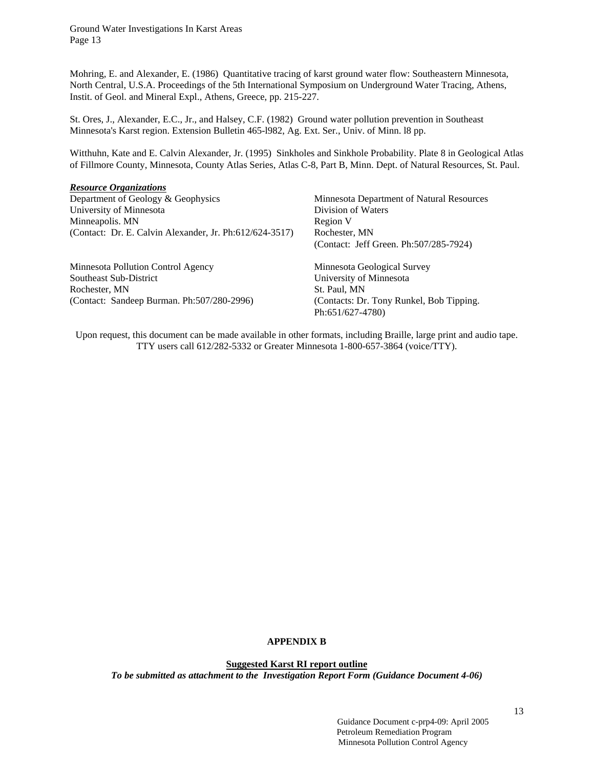Mohring, E. and Alexander, E. (1986) Quantitative tracing of karst ground water flow: Southeastern Minnesota, North Central, U.S.A. Proceedings of the 5th International Symposium on Underground Water Tracing, Athens, Instit. of Geol. and Mineral Expl., Athens, Greece, pp. 215-227.

St. Ores, J., Alexander, E.C., Jr., and Halsey, C.F. (1982) Ground water pollution prevention in Southeast Minnesota's Karst region. Extension Bulletin 465-l982, Ag. Ext. Ser., Univ. of Minn. l8 pp.

Witthuhn, Kate and E. Calvin Alexander, Jr. (1995) Sinkholes and Sinkhole Probability. Plate 8 in Geological Atlas of Fillmore County, Minnesota, County Atlas Series, Atlas C-8, Part B, Minn. Dept. of Natural Resources, St. Paul.

## *Resource Organizations*

| Minnesota Department of Natural Resources |
|-------------------------------------------|
| Division of Waters                        |
| Region V                                  |
| Rochester, MN                             |
| (Contact: Jeff Green. Ph: 507/285-7924)   |
| Minnesota Geological Survey               |
| University of Minnesota                   |
| St. Paul, MN                              |
| (Contacts: Dr. Tony Runkel, Bob Tipping.  |
| Ph:651/627-4780)                          |
|                                           |

Upon request, this document can be made available in other formats, including Braille, large print and audio tape. TTY users call 612/282-5332 or Greater Minnesota 1-800-657-3864 (voice/TTY).

## **APPENDIX B**

**Suggested Karst RI report outline**

*To be submitted as attachment to the Investigation Report Form (Guidance Document 4-06)*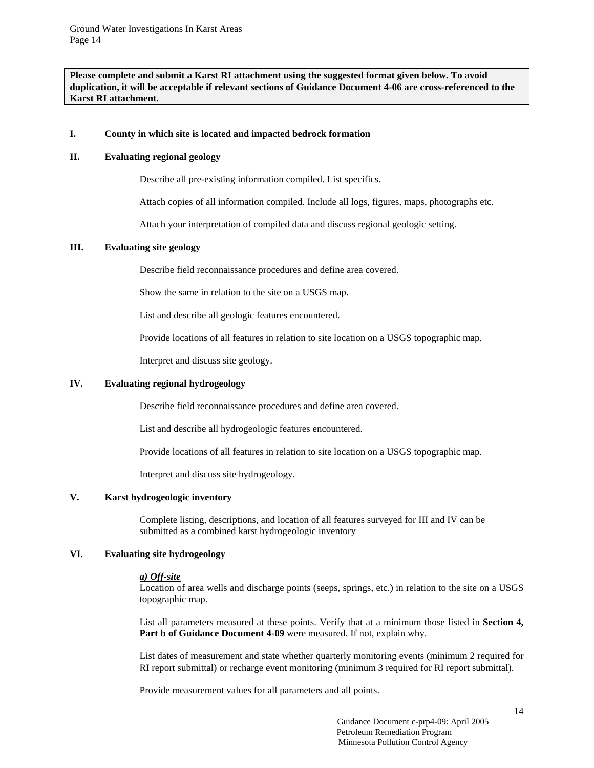**Please complete and submit a Karst RI attachment using the suggested format given below. To avoid duplication, it will be acceptable if relevant sections of Guidance Document 4-06 are cross-referenced to the Karst RI attachment.** 

#### **I. County in which site is located and impacted bedrock formation**

## **II. Evaluating regional geology**

Describe all pre-existing information compiled. List specifics.

Attach copies of all information compiled. Include all logs, figures, maps, photographs etc.

Attach your interpretation of compiled data and discuss regional geologic setting.

## **III. Evaluating site geology**

Describe field reconnaissance procedures and define area covered.

Show the same in relation to the site on a USGS map.

List and describe all geologic features encountered.

Provide locations of all features in relation to site location on a USGS topographic map.

Interpret and discuss site geology.

## **IV. Evaluating regional hydrogeology**

Describe field reconnaissance procedures and define area covered.

List and describe all hydrogeologic features encountered.

Provide locations of all features in relation to site location on a USGS topographic map.

Interpret and discuss site hydrogeology.

#### **V. Karst hydrogeologic inventory**

Complete listing, descriptions, and location of all features surveyed for III and IV can be submitted as a combined karst hydrogeologic inventory

## **VI. Evaluating site hydrogeology**

#### *a) Off-site*

Location of area wells and discharge points (seeps, springs, etc.) in relation to the site on a USGS topographic map.

List all parameters measured at these points. Verify that at a minimum those listed in **Section 4,**  Part b of Guidance Document 4-09 were measured. If not, explain why.

List dates of measurement and state whether quarterly monitoring events (minimum 2 required for RI report submittal) or recharge event monitoring (minimum 3 required for RI report submittal).

Provide measurement values for all parameters and all points.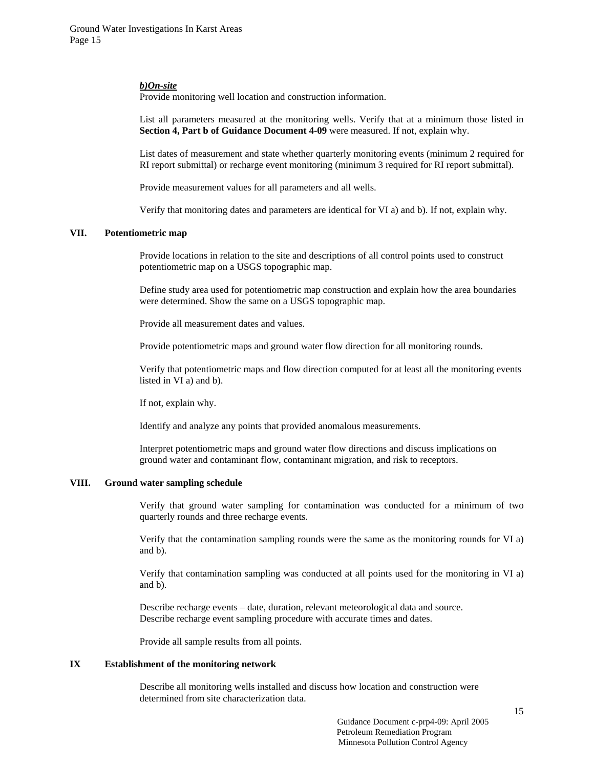#### *b)On-site*

Provide monitoring well location and construction information.

List all parameters measured at the monitoring wells. Verify that at a minimum those listed in **Section 4. Part b of Guidance Document 4-09** were measured. If not, explain why.

List dates of measurement and state whether quarterly monitoring events (minimum 2 required for RI report submittal) or recharge event monitoring (minimum 3 required for RI report submittal).

Provide measurement values for all parameters and all wells.

Verify that monitoring dates and parameters are identical for VI a) and b). If not, explain why.

#### **VII. Potentiometric map**

Provide locations in relation to the site and descriptions of all control points used to construct potentiometric map on a USGS topographic map.

Define study area used for potentiometric map construction and explain how the area boundaries were determined. Show the same on a USGS topographic map.

Provide all measurement dates and values.

Provide potentiometric maps and ground water flow direction for all monitoring rounds.

Verify that potentiometric maps and flow direction computed for at least all the monitoring events listed in VI a) and b).

If not, explain why.

Identify and analyze any points that provided anomalous measurements.

Interpret potentiometric maps and ground water flow directions and discuss implications on ground water and contaminant flow, contaminant migration, and risk to receptors.

#### **VIII. Ground water sampling schedule**

Verify that ground water sampling for contamination was conducted for a minimum of two quarterly rounds and three recharge events.

Verify that the contamination sampling rounds were the same as the monitoring rounds for VI a) and b).

Verify that contamination sampling was conducted at all points used for the monitoring in VI a) and b).

Describe recharge events – date, duration, relevant meteorological data and source. Describe recharge event sampling procedure with accurate times and dates.

Provide all sample results from all points.

#### **IX Establishment of the monitoring network**

Describe all monitoring wells installed and discuss how location and construction were determined from site characterization data.